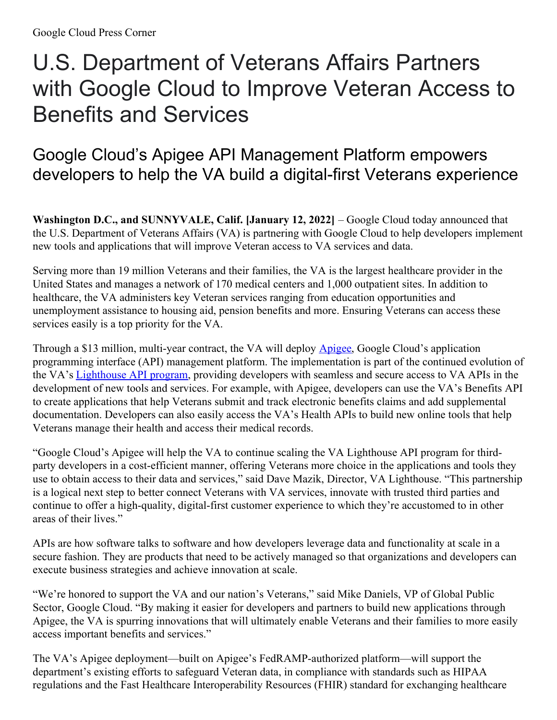## U.S. Department of Veterans Affairs Partners with Google Cloud to Improve Veteran Access to Benefits and Services

## Google Cloud's Apigee API Management Platform empowers developers to help the VA build a digital-first Veterans experience

**Washington D.C., and SUNNYVALE, Calif. [January 12, 2022]** – Google Cloud today announced that the U.S. Department of Veterans Affairs (VA) is partnering with Google Cloud to help developers implement new tools and applications that will improve Veteran access to VA services and data.

Serving more than 19 million Veterans and their families, the VA is the largest healthcare provider in the United States and manages a network of 170 medical centers and 1,000 outpatient sites. In addition to healthcare, the VA administers key Veteran services ranging from education opportunities and unemployment assistance to housing aid, pension benefits and more. Ensuring Veterans can access these services easily is a top priority for the VA.

Through a \$13 million, multi-year contract, the VA will deploy **[Apigee](https://cloud.google.com/apigee)**, Google Cloud's application programming interface (API) management platform. The implementation is part of the continued evolution of the VA's [Lighthouse](https://developer.va.gov/) API program, providing developers with seamless and secure access to VA APIs in the development of new tools and services. For example, with Apigee, developers can use the VA's Benefits API to create applications that help Veterans submit and track electronic benefits claims and add supplemental documentation. Developers can also easily access the VA's Health APIs to build new online tools that help Veterans manage their health and access their medical records.

"Google Cloud's Apigee will help the VA to continue scaling the VA Lighthouse API program for thirdparty developers in a cost-efficient manner, offering Veterans more choice in the applications and tools they use to obtain access to their data and services," said Dave Mazik, Director, VA Lighthouse. "This partnership is a logical next step to better connect Veterans with VA services, innovate with trusted third parties and continue to offer a high-quality, digital-first customer experience to which they're accustomed to in other areas of their lives."

APIs are how software talks to software and how developers leverage data and functionality at scale in a secure fashion. They are products that need to be actively managed so that organizations and developers can execute business strategies and achieve innovation at scale.

"We're honored to support the VA and our nation's Veterans," said Mike Daniels, VP of Global Public Sector, Google Cloud. "By making it easier for developers and partners to build new applications through Apigee, the VA is spurring innovations that will ultimately enable Veterans and their families to more easily access important benefits and services."

The VA's Apigee deployment—built on Apigee's FedRAMP-authorized platform—will support the department's existing efforts to safeguard Veteran data, in compliance with standards such as HIPAA regulations and the Fast Healthcare Interoperability Resources (FHIR) standard for exchanging healthcare